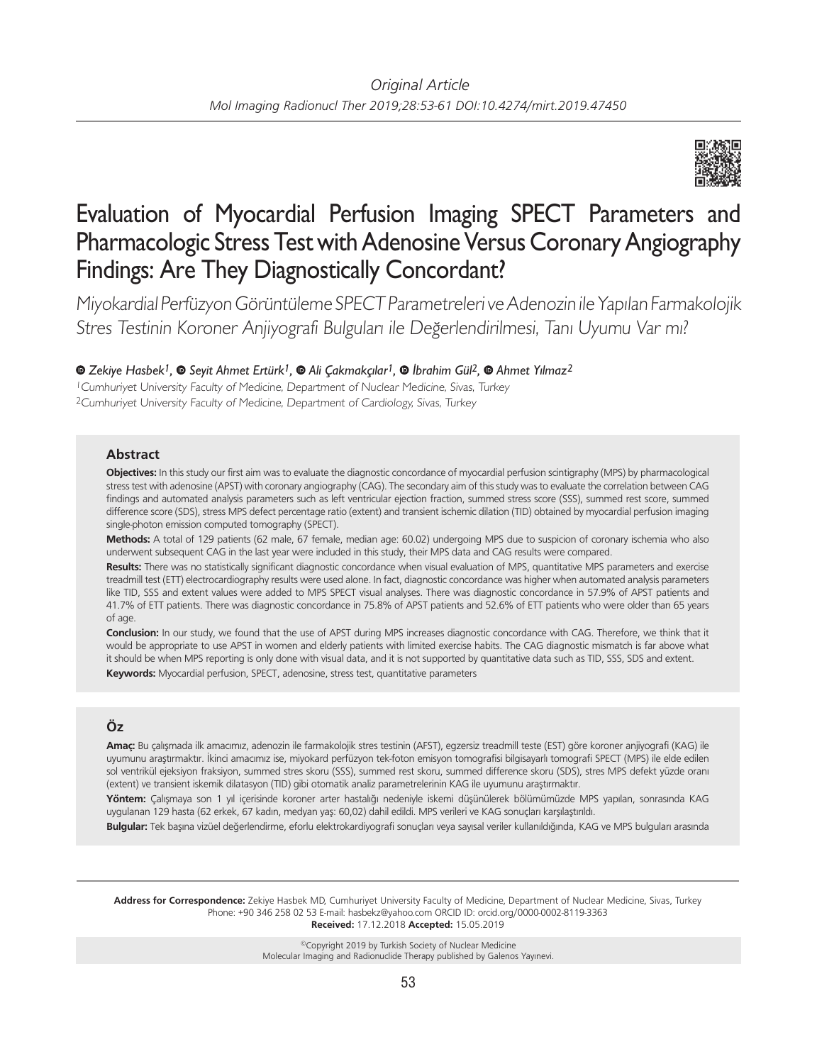

# Evaluation of Myocardial Perfusion Imaging SPECT Parameters and Pharmacologic Stress Test with Adenosine Versus Coronary Angiography Findings: Are They Diagnostically Concordant?

Miyokardial Perfüzyon Görüntüleme SPECT Parametreleri ve Adenozin ile Yapılan Farmakolojik Stres Testinin Koroner Anjiyografi Bulguları ile Değerlendirilmesi, Tanı Uyumu Var mı?

## *Zekiye Hasbek1,Seyit Ahmet Ertürk1,Ali Çakmakçılar1,İbrahim Gül2,Ahmet Yılmaz2*

<sup>1</sup>Cumhuriyet University Faculty of Medicine, Department of Nuclear Medicine, Sivas, Turkey <sup>2</sup>Cumhuriyet University Faculty of Medicine, Department of Cardiology, Sivas, Turkey

## **Abstract**

**Objectives:** In this study our first aim was to evaluate the diagnostic concordance of myocardial perfusion scintigraphy (MPS) by pharmacological stress test with adenosine (APST) with coronary angiography (CAG). The secondary aim of this study was to evaluate the correlation between CAG findings and automated analysis parameters such as left ventricular ejection fraction, summed stress score (SSS), summed rest score, summed difference score (SDS), stress MPS defect percentage ratio (extent) and transient ischemic dilation (TID) obtained by myocardial perfusion imaging single-photon emission computed tomography (SPECT).

**Methods:** A total of 129 patients (62 male, 67 female, median age: 60.02) undergoing MPS due to suspicion of coronary ischemia who also underwent subsequent CAG in the last year were included in this study, their MPS data and CAG results were compared.

**Results:** There was no statistically significant diagnostic concordance when visual evaluation of MPS, quantitative MPS parameters and exercise treadmill test (ETT) electrocardiography results were used alone. In fact, diagnostic concordance was higher when automated analysis parameters like TID, SSS and extent values were added to MPS SPECT visual analyses. There was diagnostic concordance in 57.9% of APST patients and 41.7% of ETT patients. There was diagnostic concordance in 75.8% of APST patients and 52.6% of ETT patients who were older than 65 years of age.

**Conclusion:** In our study, we found that the use of APST during MPS increases diagnostic concordance with CAG. Therefore, we think that it would be appropriate to use APST in women and elderly patients with limited exercise habits. The CAG diagnostic mismatch is far above what it should be when MPS reporting is only done with visual data, and it is not supported by quantitative data such as TID, SSS, SDS and extent. **Keywords:** Myocardial perfusion, SPECT, adenosine, stress test, quantitative parameters

## **Öz**

**Amaç:** Bu çalışmada ilk amacımız, adenozin ile farmakolojik stres testinin (AFST), egzersiz treadmill teste (EST) göre koroner anjiyografi (KAG) ile uyumunu araştırmaktır. İkinci amacımız ise, miyokard perfüzyon tek-foton emisyon tomografisi bilgisayarlı tomografi SPECT (MPS) ile elde edilen sol ventrikül ejeksiyon fraksiyon, summed stres skoru (SSS), summed rest skoru, summed difference skoru (SDS), stres MPS defekt yüzde oranı (extent) ve transient iskemik dilatasyon (TID) gibi otomatik analiz parametrelerinin KAG ile uyumunu araştırmaktır.

**Yöntem:** Çalışmaya son 1 yıl içerisinde koroner arter hastalığı nedeniyle iskemi düşünülerek bölümümüzde MPS yapılan, sonrasında KAG uygulanan 129 hasta (62 erkek, 67 kadın, medyan yaş: 60,02) dahil edildi. MPS verileri ve KAG sonuçları karşılaştırıldı.

**Bulgular:** Tek başına vizüel değerlendirme, eforlu elektrokardiyografi sonuçları veya sayısal veriler kullanıldığında, KAG ve MPS bulguları arasında

**Address for Correspondence:** Zekiye Hasbek MD, Cumhuriyet University Faculty of Medicine, Department of Nuclear Medicine, Sivas, Turkey Phone: +90 346 258 02 53 E-mail: hasbekz@yahoo.com ORCID ID: orcid.org/0000-0002-8119-3363 **Received:** 17.12.2018 **Accepted:** 15.05.2019

> ©Copyright 2019 by Turkish Society of Nuclear Medicine Molecular Imaging and Radionuclide Therapy published by Galenos Yayınevi.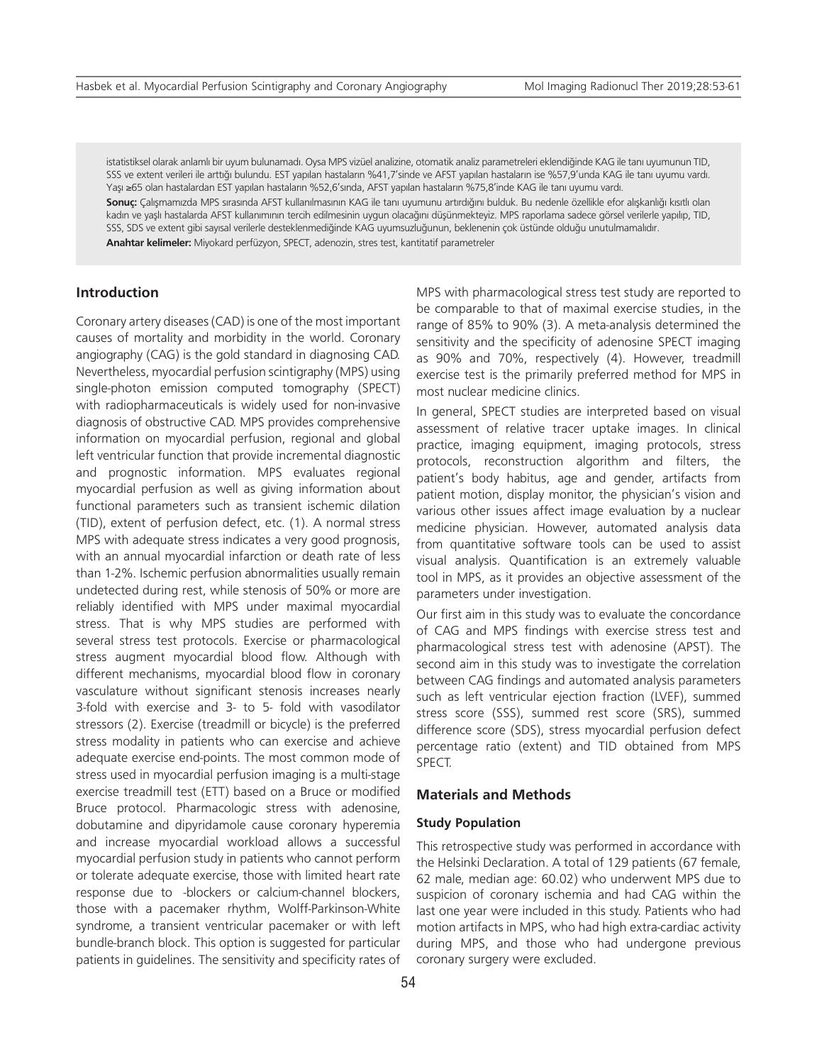istatistiksel olarak anlamlı bir uyum bulunamadı. Oysa MPS vizüel analizine, otomatik analiz parametreleri eklendiğinde KAG ile tanı uyumunun TID, SSS ve extent verileri ile arttığı bulundu. EST yapılan hastaların %41,7'sinde ve AFST yapılan hastaların ise %57,9'unda KAG ile tanı uyumu vardı. Yaşı ≥65 olan hastalardan EST yapılan hastaların %52,6'sında, AFST yapılan hastaların %75,8'inde KAG ile tanı uyumu vardı.

**Sonuç:** Çalışmamızda MPS sırasında AFST kullanılmasının KAG ile tanı uyumunu artırdığını bulduk. Bu nedenle özellikle efor alışkanlığı kısıtlı olan kadın ve yaşlı hastalarda AFST kullanımının tercih edilmesinin uygun olacağını düşünmekteyiz. MPS raporlama sadece görsel verilerle yapılıp, TID, SSS, SDS ve extent gibi sayısal verilerle desteklenmediğinde KAG uyumsuzluğunun, beklenenin çok üstünde olduğu unutulmamalıdır.

**Anahtar kelimeler:** Miyokard perfüzyon, SPECT, adenozin, stres test, kantitatif parametreler

## **Introduction**

Coronary artery diseases (CAD) is one of the most important causes of mortality and morbidity in the world. Coronary angiography (CAG) is the gold standard in diagnosing CAD. Nevertheless, myocardial perfusion scintigraphy (MPS) using single-photon emission computed tomography (SPECT) with radiopharmaceuticals is widely used for non-invasive diagnosis of obstructive CAD. MPS provides comprehensive information on myocardial perfusion, regional and global left ventricular function that provide incremental diagnostic and prognostic information. MPS evaluates regional myocardial perfusion as well as giving information about functional parameters such as transient ischemic dilation (TID), extent of perfusion defect, etc. (1). A normal stress MPS with adequate stress indicates a very good prognosis, with an annual myocardial infarction or death rate of less than 1-2%. Ischemic perfusion abnormalities usually remain undetected during rest, while stenosis of 50% or more are reliably identified with MPS under maximal myocardial stress. That is why MPS studies are performed with several stress test protocols. Exercise or pharmacological stress augment myocardial blood flow. Although with different mechanisms, myocardial blood flow in coronary vasculature without significant stenosis increases nearly 3-fold with exercise and 3- to 5- fold with vasodilator stressors (2). Exercise (treadmill or bicycle) is the preferred stress modality in patients who can exercise and achieve adequate exercise end-points. The most common mode of stress used in myocardial perfusion imaging is a multi-stage exercise treadmill test (ETT) based on a Bruce or modified Bruce protocol. Pharmacologic stress with adenosine, dobutamine and dipyridamole cause coronary hyperemia and increase myocardial workload allows a successful myocardial perfusion study in patients who cannot perform or tolerate adequate exercise, those with limited heart rate response due to -blockers or calcium-channel blockers, those with a pacemaker rhythm, Wolff-Parkinson-White syndrome, a transient ventricular pacemaker or with left bundle-branch block. This option is suggested for particular patients in guidelines. The sensitivity and specificity rates of MPS with pharmacological stress test study are reported to be comparable to that of maximal exercise studies, in the range of 85% to 90% (3). A meta-analysis determined the sensitivity and the specificity of adenosine SPECT imaging as 90% and 70%, respectively (4). However, treadmill exercise test is the primarily preferred method for MPS in most nuclear medicine clinics.

In general, SPECT studies are interpreted based on visual assessment of relative tracer uptake images. In clinical practice, imaging equipment, imaging protocols, stress protocols, reconstruction algorithm and filters, the patient's body habitus, age and gender, artifacts from patient motion, display monitor, the physician's vision and various other issues affect image evaluation by a nuclear medicine physician. However, automated analysis data from quantitative software tools can be used to assist visual analysis. Quantification is an extremely valuable tool in MPS, as it provides an objective assessment of the parameters under investigation.

Our first aim in this study was to evaluate the concordance of CAG and MPS findings with exercise stress test and pharmacological stress test with adenosine (APST). The second aim in this study was to investigate the correlation between CAG findings and automated analysis parameters such as left ventricular ejection fraction (LVEF), summed stress score (SSS), summed rest score (SRS), summed difference score (SDS), stress myocardial perfusion defect percentage ratio (extent) and TID obtained from MPS SPECT.

## **Materials and Methods**

#### **Study Population**

This retrospective study was performed in accordance with the Helsinki Declaration. A total of 129 patients (67 female, 62 male, median age: 60.02) who underwent MPS due to suspicion of coronary ischemia and had CAG within the last one year were included in this study. Patients who had motion artifacts in MPS, who had high extra-cardiac activity during MPS, and those who had undergone previous coronary surgery were excluded.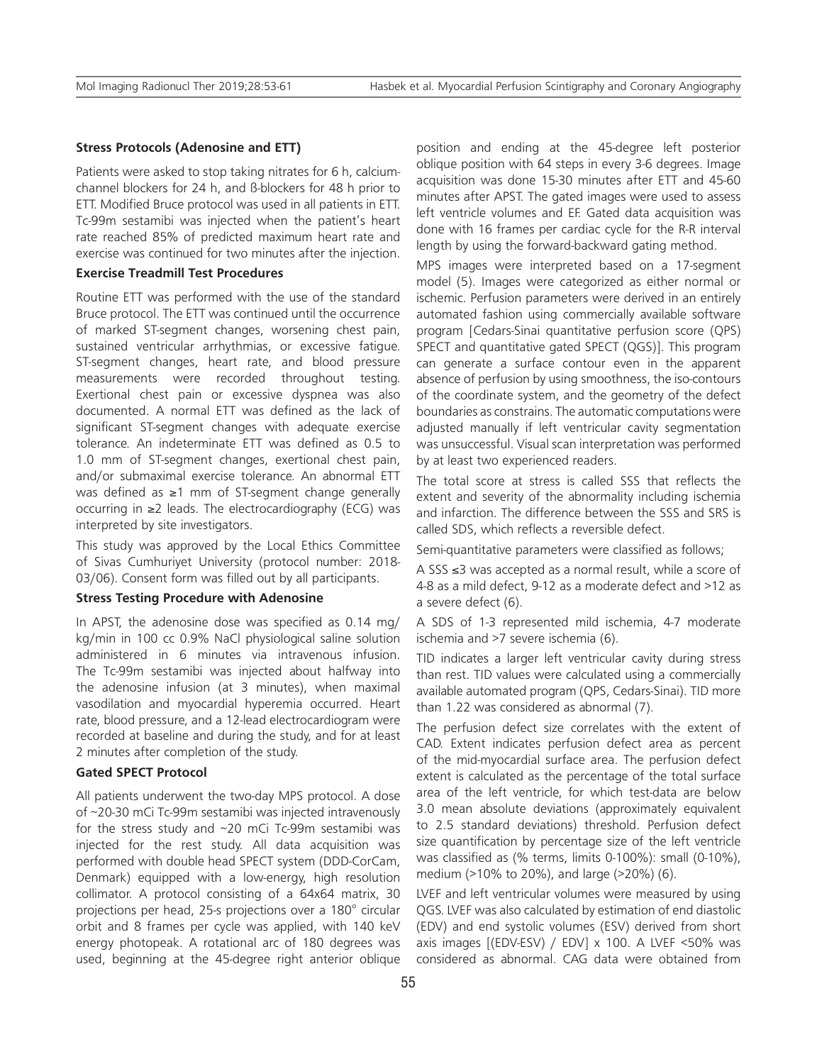#### **Stress Protocols (Adenosine and ETT)**

Patients were asked to stop taking nitrates for 6 h, calciumchannel blockers for 24 h, and ß-blockers for 48 h prior to ETT. Modified Bruce protocol was used in all patients in ETT. Tc-99m sestamibi was injected when the patient's heart rate reached 85% of predicted maximum heart rate and exercise was continued for two minutes after the injection.

#### **Exercise Treadmill Test Procedures**

Routine ETT was performed with the use of the standard Bruce protocol. The ETT was continued until the occurrence of marked ST-segment changes, worsening chest pain, sustained ventricular arrhythmias, or excessive fatigue. ST-segment changes, heart rate, and blood pressure measurements were recorded throughout testing. Exertional chest pain or excessive dyspnea was also documented. A normal ETT was defined as the lack of significant ST-segment changes with adequate exercise tolerance. An indeterminate ETT was defined as 0.5 to 1.0 mm of ST-segment changes, exertional chest pain, and/or submaximal exercise tolerance. An abnormal ETT was defined as ≥1 mm of ST-segment change generally occurring in ≥2 leads. The electrocardiography (ECG) was interpreted by site investigators.

This study was approved by the Local Ethics Committee of Sivas Cumhuriyet University (protocol number: 2018- 03/06). Consent form was filled out by all participants.

#### **Stress Testing Procedure with Adenosine**

In APST, the adenosine dose was specified as 0.14 mg/ kg/min in 100 cc 0.9% NaCl physiological saline solution administered in 6 minutes via intravenous infusion. The Tc-99m sestamibi was injected about halfway into the adenosine infusion (at 3 minutes), when maximal vasodilation and myocardial hyperemia occurred. Heart rate, blood pressure, and a 12-lead electrocardiogram were recorded at baseline and during the study, and for at least 2 minutes after completion of the study.

## **Gated SPECT Protocol**

All patients underwent the two-day MPS protocol. A dose of ~20-30 mCi Tc-99m sestamibi was injected intravenously for the stress study and ~20 mCi Tc-99m sestamibi was injected for the rest study. All data acquisition was performed with double head SPECT system (DDD-CorCam, Denmark) equipped with a low-energy, high resolution collimator. A protocol consisting of a 64x64 matrix, 30 projections per head, 25-s projections over a 180° circular orbit and 8 frames per cycle was applied, with 140 keV energy photopeak. A rotational arc of 180 degrees was used, beginning at the 45-degree right anterior oblique

position and ending at the 45-degree left posterior oblique position with 64 steps in every 3-6 degrees. Image acquisition was done 15-30 minutes after ETT and 45-60 minutes after APST. The gated images were used to assess left ventricle volumes and EF. Gated data acquisition was done with 16 frames per cardiac cycle for the R-R interval length by using the forward-backward gating method.

MPS images were interpreted based on a 17-segment model (5). Images were categorized as either normal or ischemic. Perfusion parameters were derived in an entirely automated fashion using commercially available software program [Cedars-Sinai quantitative perfusion score (QPS) SPECT and quantitative gated SPECT (QGS)]. This program can generate a surface contour even in the apparent absence of perfusion by using smoothness, the iso-contours of the coordinate system, and the geometry of the defect boundaries as constrains. The automatic computations were adjusted manually if left ventricular cavity segmentation was unsuccessful. Visual scan interpretation was performed by at least two experienced readers.

The total score at stress is called SSS that reflects the extent and severity of the abnormality including ischemia and infarction. The difference between the SSS and SRS is called SDS, which reflects a reversible defect.

Semi-quantitative parameters were classified as follows;

A SSS ≤3 was accepted as a normal result, while a score of 4-8 as a mild defect, 9-12 as a moderate defect and >12 as a severe defect (6).

A SDS of 1-3 represented mild ischemia, 4-7 moderate ischemia and >7 severe ischemia (6).

TID indicates a larger left ventricular cavity during stress than rest. TID values were calculated using a commercially available automated program (QPS, Cedars-Sinai). TID more than 1.22 was considered as abnormal (7).

The perfusion defect size correlates with the extent of CAD. Extent indicates perfusion defect area as percent of the mid-myocardial surface area. The perfusion defect extent is calculated as the percentage of the total surface area of the left ventricle, for which test-data are below 3.0 mean absolute deviations (approximately equivalent to 2.5 standard deviations) threshold. Perfusion defect size quantification by percentage size of the left ventricle was classified as (% terms, limits 0-100%): small (0-10%), medium (>10% to 20%), and large (>20%) (6).

LVEF and left ventricular volumes were measured by using QGS. LVEF was also calculated by estimation of end diastolic (EDV) and end systolic volumes (ESV) derived from short axis images [(EDV-ESV) / EDV] x 100. A LVEF <50% was considered as abnormal. CAG data were obtained from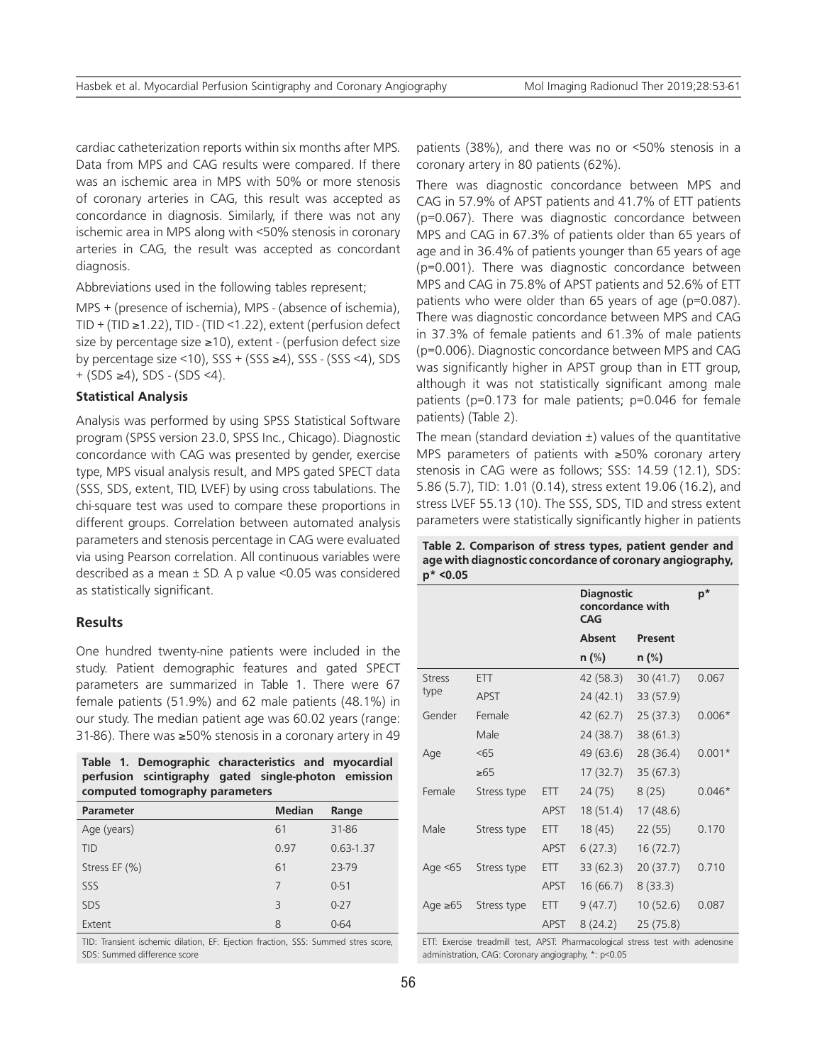cardiac catheterization reports within six months after MPS. Data from MPS and CAG results were compared. If there was an ischemic area in MPS with 50% or more stenosis of coronary arteries in CAG, this result was accepted as concordance in diagnosis. Similarly, if there was not any ischemic area in MPS along with <50% stenosis in coronary arteries in CAG, the result was accepted as concordant diagnosis.

Abbreviations used in the following tables represent;

MPS + (presence of ischemia), MPS - (absence of ischemia), TID + (TID  $\geq$  1.22), TID - (TID < 1.22), extent (perfusion defect size by percentage size ≥10), extent - (perfusion defect size by percentage size <10), SSS + (SSS ≥4), SSS - (SSS <4), SDS + (SDS ≥4), SDS - (SDS <4).

#### **Statistical Analysis**

Analysis was performed by using SPSS Statistical Software program (SPSS version 23.0, SPSS Inc., Chicago). Diagnostic concordance with CAG was presented by gender, exercise type, MPS visual analysis result, and MPS gated SPECT data (SSS, SDS, extent, TID, LVEF) by using cross tabulations. The chi-square test was used to compare these proportions in different groups. Correlation between automated analysis parameters and stenosis percentage in CAG were evaluated via using Pearson correlation. All continuous variables were described as a mean  $\pm$  SD. A p value < 0.05 was considered as statistically significant.

### **Results**

One hundred twenty-nine patients were included in the study. Patient demographic features and gated SPECT parameters are summarized in Table 1. There were 67 female patients (51.9%) and 62 male patients (48.1%) in our study. The median patient age was 60.02 years (range: 31-86). There was ≥50% stenosis in a coronary artery in 49

**Table 1. Demographic characteristics and myocardial perfusion scintigraphy gated single-photon emission computed tomography parameters** 

| <b>Parameter</b> | <b>Median</b>            | Range         |
|------------------|--------------------------|---------------|
| Age (years)      | 61                       | 31-86         |
| <b>TID</b>       | 0.97                     | $0.63 - 1.37$ |
| Stress EF (%)    | 61                       | 23-79         |
| SSS              | 7                        | $0 - 51$      |
| <b>SDS</b>       | $\overline{\mathcal{E}}$ | $0 - 27$      |
| Extent           | 8                        | $0 - 64$      |

TID: Transient ischemic dilation, EF: Ejection fraction, SSS: Summed stres score, SDS: Summed difference score

patients (38%), and there was no or <50% stenosis in a coronary artery in 80 patients (62%).

There was diagnostic concordance between MPS and CAG in 57.9% of APST patients and 41.7% of ETT patients (p=0.067). There was diagnostic concordance between MPS and CAG in 67.3% of patients older than 65 years of age and in 36.4% of patients younger than 65 years of age (p=0.001). There was diagnostic concordance between MPS and CAG in 75.8% of APST patients and 52.6% of ETT patients who were older than 65 years of age (p=0.087). There was diagnostic concordance between MPS and CAG in 37.3% of female patients and 61.3% of male patients (p=0.006). Diagnostic concordance between MPS and CAG was significantly higher in APST group than in ETT group, although it was not statistically significant among male patients (p=0.173 for male patients; p=0.046 for female patients) (Table 2).

The mean (standard deviation  $\pm$ ) values of the quantitative MPS parameters of patients with ≥50% coronary artery stenosis in CAG were as follows; SSS: 14.59 (12.1), SDS: 5.86 (5.7), TID: 1.01 (0.14), stress extent 19.06 (16.2), and stress LVEF 55.13 (10). The SSS, SDS, TID and stress extent parameters were statistically significantly higher in patients

**Table 2. Comparison of stress types, patient gender and age with diagnostic concordance of coronary angiography, p\* <0.05** 

|               |             |             | <b>Diagnostic</b><br>concordance with<br><b>CAG</b> |           | $\mathsf{p}^{\star}$ |  |
|---------------|-------------|-------------|-----------------------------------------------------|-----------|----------------------|--|
|               |             |             | <b>Absent</b>                                       | Present   |                      |  |
|               |             |             | $n$ (%)                                             | $n$ (%)   |                      |  |
| <b>Stress</b> | <b>ETT</b>  |             | 42 (58.3)                                           | 30(41.7)  | 0.067                |  |
| type          | <b>APST</b> |             | 24(42.1)                                            | 33 (57.9) |                      |  |
| Gender        | Female      |             | 42 (62.7)                                           | 25(37.3)  | $0.006*$             |  |
|               | Male        |             | 24 (38.7)                                           | 38 (61.3) |                      |  |
| Age           | < 65        |             | 49 (63.6)                                           | 28 (36.4) | $0.001*$             |  |
|               | $\geq 65$   |             | 17(32.7)                                            | 35(67.3)  |                      |  |
| Female        | Stress type | ETT.        | 24 (75)                                             | 8(25)     | $0.046*$             |  |
|               |             | <b>APST</b> | 18 (51.4)                                           | 17(48.6)  |                      |  |
| Male          | Stress type | <b>ETT</b>  | 18(45)                                              | 22 (55)   | 0.170                |  |
|               |             | <b>APST</b> | 6(27.3)                                             | 16(72.7)  |                      |  |
| Age $< 65$    | Stress type | <b>ETT</b>  | 33(62.3)                                            | 20(37.7)  | 0.710                |  |
|               |             | APST        | 16(66.7)                                            | 8(33.3)   |                      |  |
| Age $\geq 65$ | Stress type | ETT.        | 9(47.7)                                             | 10(52.6)  | 0.087                |  |
|               |             | <b>APST</b> | 8(24.2)                                             | 25(75.8)  |                      |  |

ETT: Exercise treadmill test, APST: Pharmacological stress test with adenosine administration, CAG: Coronary angiography, \*: p<0.05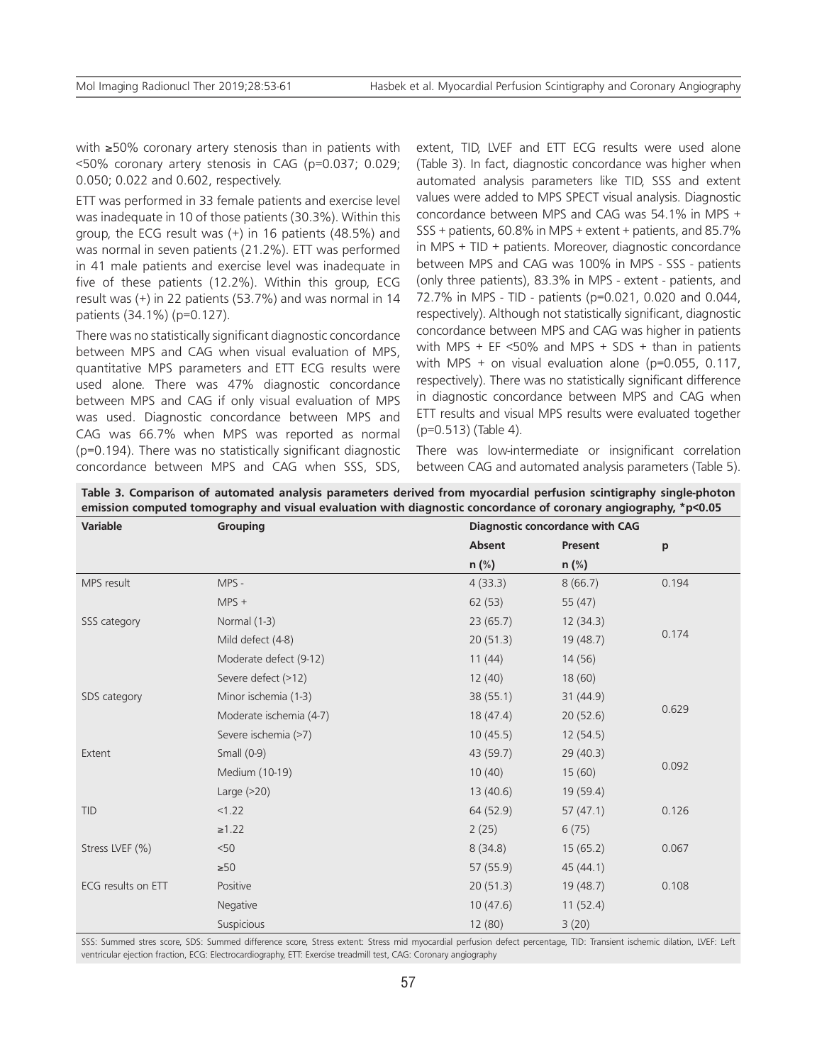with ≥50% coronary artery stenosis than in patients with <50% coronary artery stenosis in CAG (p=0.037; 0.029; 0.050; 0.022 and 0.602, respectively.

ETT was performed in 33 female patients and exercise level was inadequate in 10 of those patients (30.3%). Within this group, the ECG result was (+) in 16 patients (48.5%) and was normal in seven patients (21.2%). ETT was performed in 41 male patients and exercise level was inadequate in five of these patients (12.2%). Within this group, ECG result was (+) in 22 patients (53.7%) and was normal in 14 patients (34.1%) (p=0.127).

There was no statistically significant diagnostic concordance between MPS and CAG when visual evaluation of MPS, quantitative MPS parameters and ETT ECG results were used alone. There was 47% diagnostic concordance between MPS and CAG if only visual evaluation of MPS was used. Diagnostic concordance between MPS and CAG was 66.7% when MPS was reported as normal (p=0.194). There was no statistically significant diagnostic concordance between MPS and CAG when SSS, SDS, extent, TID, LVEF and ETT ECG results were used alone (Table 3). In fact, diagnostic concordance was higher when automated analysis parameters like TID, SSS and extent values were added to MPS SPECT visual analysis. Diagnostic concordance between MPS and CAG was 54.1% in MPS + SSS + patients, 60.8% in MPS + extent + patients, and 85.7% in MPS + TID + patients. Moreover, diagnostic concordance between MPS and CAG was 100% in MPS - SSS - patients (only three patients), 83.3% in MPS - extent - patients, and 72.7% in MPS - TID - patients (p=0.021, 0.020 and 0.044, respectively). Although not statistically significant, diagnostic concordance between MPS and CAG was higher in patients with MPS + EF  $\leq$  50% and MPS + SDS + than in patients with MPS + on visual evaluation alone ( $p=0.055$ , 0.117, respectively). There was no statistically significant difference in diagnostic concordance between MPS and CAG when ETT results and visual MPS results were evaluated together (p=0.513) (Table 4).

There was low-intermediate or insignificant correlation between CAG and automated analysis parameters (Table 5).

| Table 3. Comparison of automated analysis parameters derived from myocardial perfusion scintigraphy single-photon |  |  |
|-------------------------------------------------------------------------------------------------------------------|--|--|
| emission computed tomography and visual evaluation with diagnostic concordance of coronary angiography, *p<0.05   |  |  |

| Variable           | Grouping                | Diagnostic concordance with CAG |           |       |
|--------------------|-------------------------|---------------------------------|-----------|-------|
|                    |                         | Absent                          | Present   | p     |
|                    |                         | n (%)                           | $n$ (%)   |       |
| MPS result         | MPS -                   | 4(33.3)                         | 8(66.7)   | 0.194 |
|                    | $MPS +$                 | 62(53)                          | 55 $(47)$ |       |
| SSS category       | Normal (1-3)            | 23(65.7)                        | 12(34.3)  |       |
|                    | Mild defect (4-8)       | 20(51.3)                        | 19(48.7)  | 0.174 |
|                    | Moderate defect (9-12)  | 11(44)                          | 14(56)    |       |
|                    | Severe defect (>12)     | 12(40)                          | 18(60)    |       |
| SDS category       | Minor ischemia (1-3)    | 38(55.1)                        | 31(44.9)  |       |
|                    | Moderate ischemia (4-7) | 18(47.4)                        | 20(52.6)  | 0.629 |
|                    | Severe ischemia (>7)    | 10(45.5)                        | 12(54.5)  |       |
| Extent             | Small $(0-9)$           | 43 (59.7)                       | 29(40.3)  |       |
|                    | Medium (10-19)          | 10(40)                          | 15(60)    | 0.092 |
|                    | Large $(>20)$           | 13(40.6)                        | 19(59.4)  |       |
| <b>TID</b>         | < 1.22                  | 64 (52.9)                       | 57(47.1)  | 0.126 |
|                    | $\ge 1.22$              | 2(25)                           | 6(75)     |       |
| Stress LVEF (%)    | < 50                    | 8(34.8)                         | 15(65.2)  | 0.067 |
|                    | $\geq 50$               | 57(55.9)                        | 45(44.1)  |       |
| ECG results on ETT | Positive                | 20(51.3)                        | 19(48.7)  | 0.108 |
|                    | Negative                | 10(47.6)                        | 11(52.4)  |       |
|                    | Suspicious              | 12 (80)                         | 3(20)     |       |

SSS: Summed stres score, SDS: Summed difference score, Stress extent: Stress mid myocardial perfusion defect percentage, TID: Transient ischemic dilation, LVEF: Left ventricular ejection fraction, ECG: Electrocardiography, ETT: Exercise treadmill test, CAG: Coronary angiography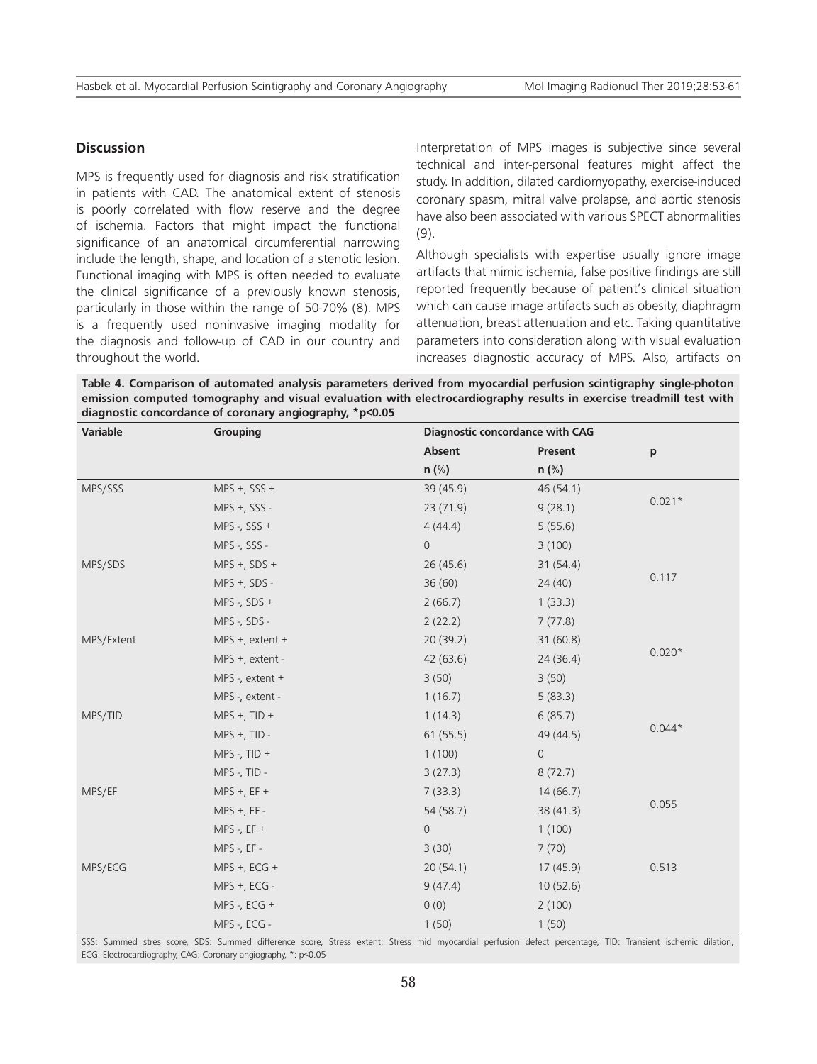## **Discussion**

MPS is frequently used for diagnosis and risk stratification in patients with CAD. The anatomical extent of stenosis is poorly correlated with flow reserve and the degree of ischemia. Factors that might impact the functional significance of an anatomical circumferential narrowing include the length, shape, and location of a stenotic lesion. Functional imaging with MPS is often needed to evaluate the clinical significance of a previously known stenosis, particularly in those within the range of 50-70% (8). MPS is a frequently used noninvasive imaging modality for the diagnosis and follow-up of CAD in our country and throughout the world.

Interpretation of MPS images is subjective since several technical and inter-personal features might affect the study. In addition, dilated cardiomyopathy, exercise-induced coronary spasm, mitral valve prolapse, and aortic stenosis have also been associated with various SPECT abnormalities (9).

Although specialists with expertise usually ignore image artifacts that mimic ischemia, false positive findings are still reported frequently because of patient's clinical situation which can cause image artifacts such as obesity, diaphragm attenuation, breast attenuation and etc. Taking quantitative parameters into consideration along with visual evaluation increases diagnostic accuracy of MPS. Also, artifacts on

**Table 4. Comparison of automated analysis parameters derived from myocardial perfusion scintigraphy single-photon emission computed tomography and visual evaluation with electrocardiography results in exercise treadmill test with diagnostic concordance of coronary angiography, \*p<0.05** 

| <b>Variable</b> | Grouping             |                | Diagnostic concordance with CAG |          |  |
|-----------------|----------------------|----------------|---------------------------------|----------|--|
|                 |                      | Absent         | Present                         | p        |  |
|                 |                      | n (%)          | n (%)                           |          |  |
| MPS/SSS         | MPS +, SSS +         | 39 (45.9)      | 46 (54.1)                       |          |  |
|                 | $MPS +$ , SSS -      | 23(71.9)       | 9(28.1)                         | $0.021*$ |  |
|                 | MPS -, $SSS +$       | 4(44.4)        | 5(55.6)                         |          |  |
|                 | MPS -, SSS -         | $\overline{0}$ | 3(100)                          |          |  |
| MPS/SDS         | $MPS +$ , SDS +      | 26(45.6)       | 31(54.4)                        |          |  |
|                 | $MPS +$ , SDS -      | 36(60)         | 24(40)                          | 0.117    |  |
|                 | MPS -, $SDS +$       | 2(66.7)        | 1(33.3)                         |          |  |
|                 | MPS -, SDS -         | 2(22.2)        | 7(77.8)                         |          |  |
| MPS/Extent      | MPS $+$ , extent $+$ | 20(39.2)       | 31(60.8)                        |          |  |
|                 | MPS +, extent -      | 42(63.6)       | 24(36.4)                        | $0.020*$ |  |
|                 | MPS -, extent $+$    | 3(50)          | 3(50)                           |          |  |
|                 | MPS -, extent -      | 1(16.7)        | 5(83.3)                         |          |  |
| MPS/TID         | $MPS + TID +$        | 1(14.3)        | 6(85.7)                         |          |  |
|                 | MPS +, TID -         | 61(55.5)       | 49 (44.5)                       | $0.044*$ |  |
|                 | MPS -, $TID +$       | 1(100)         | $\mathsf{O}\xspace$             |          |  |
|                 | MPS -, TID -         | 3(27.3)        | 8(72.7)                         |          |  |
| MPS/EF          | $MPS + EFT +$        | 7(33.3)        | 14(66.7)                        |          |  |
|                 | $MPS +$ , EF -       | 54 (58.7)      | 38 (41.3)                       | 0.055    |  |
|                 | MPS -, $EF +$        | $\mathbf 0$    | 1(100)                          |          |  |
|                 | MPS -, EF -          | 3(30)          | 7(70)                           |          |  |
| MPS/ECG         | $MPS + ECG +$        | 20(54.1)       | 17 (45.9)                       | 0.513    |  |
|                 | MPS +, ECG -         | 9(47.4)        | 10(52.6)                        |          |  |
|                 | MPS -, ECG +         | 0(0)           | 2(100)                          |          |  |
|                 | MPS -, ECG -         | 1(50)          | 1(50)                           |          |  |

SSS: Summed stres score, SDS: Summed difference score, Stress extent: Stress mid myocardial perfusion defect percentage, TID: Transient ischemic dilation, ECG: Electrocardiography, CAG: Coronary angiography, \*: p<0.05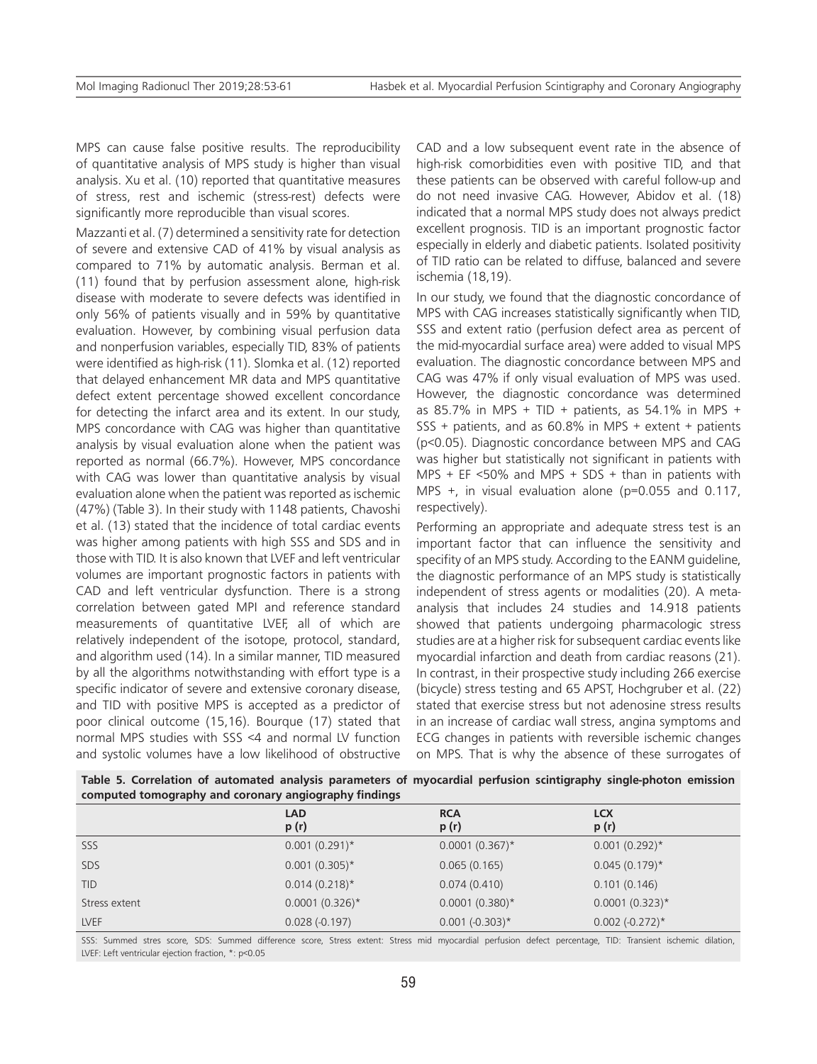MPS can cause false positive results. The reproducibility of quantitative analysis of MPS study is higher than visual analysis. Xu et al. (10) reported that quantitative measures of stress, rest and ischemic (stress-rest) defects were significantly more reproducible than visual scores.

Mazzanti et al. (7) determined a sensitivity rate for detection of severe and extensive CAD of 41% by visual analysis as compared to 71% by automatic analysis. Berman et al. (11) found that by perfusion assessment alone, high-risk disease with moderate to severe defects was identified in only 56% of patients visually and in 59% by quantitative evaluation. However, by combining visual perfusion data and nonperfusion variables, especially TID, 83% of patients were identified as high-risk (11). Slomka et al. (12) reported that delayed enhancement MR data and MPS quantitative defect extent percentage showed excellent concordance for detecting the infarct area and its extent. In our study, MPS concordance with CAG was higher than quantitative analysis by visual evaluation alone when the patient was reported as normal (66.7%). However, MPS concordance with CAG was lower than quantitative analysis by visual evaluation alone when the patient was reported as ischemic (47%) (Table 3). In their study with 1148 patients, Chavoshi et al. (13) stated that the incidence of total cardiac events was higher among patients with high SSS and SDS and in those with TID. It is also known that LVEF and left ventricular volumes are important prognostic factors in patients with CAD and left ventricular dysfunction. There is a strong correlation between gated MPI and reference standard measurements of quantitative LVEF, all of which are relatively independent of the isotope, protocol, standard, and algorithm used (14). In a similar manner, TID measured by all the algorithms notwithstanding with effort type is a specific indicator of severe and extensive coronary disease, and TID with positive MPS is accepted as a predictor of poor clinical outcome (15,16). Bourque (17) stated that normal MPS studies with SSS <4 and normal LV function and systolic volumes have a low likelihood of obstructive

CAD and a low subsequent event rate in the absence of high-risk comorbidities even with positive TID, and that these patients can be observed with careful follow-up and do not need invasive CAG. However, Abidov et al. (18) indicated that a normal MPS study does not always predict excellent prognosis. TID is an important prognostic factor especially in elderly and diabetic patients. Isolated positivity of TID ratio can be related to diffuse, balanced and severe ischemia (18,19).

In our study, we found that the diagnostic concordance of MPS with CAG increases statistically significantly when TID, SSS and extent ratio (perfusion defect area as percent of the mid-myocardial surface area) were added to visual MPS evaluation. The diagnostic concordance between MPS and CAG was 47% if only visual evaluation of MPS was used. However, the diagnostic concordance was determined as 85.7% in MPS + TID + patients, as 54.1% in MPS + SSS + patients, and as 60.8% in MPS + extent + patients (p<0.05). Diagnostic concordance between MPS and CAG was higher but statistically not significant in patients with MPS + EF  $<50\%$  and MPS + SDS + than in patients with MPS +, in visual evaluation alone (p=0.055 and 0.117, respectively).

Performing an appropriate and adequate stress test is an important factor that can influence the sensitivity and specifity of an MPS study. According to the EANM guideline, the diagnostic performance of an MPS study is statistically independent of stress agents or modalities (20). A metaanalysis that includes 24 studies and 14.918 patients showed that patients undergoing pharmacologic stress studies are at a higher risk for subsequent cardiac events like myocardial infarction and death from cardiac reasons (21). In contrast, in their prospective study including 266 exercise (bicycle) stress testing and 65 APST, Hochgruber et al. (22) stated that exercise stress but not adenosine stress results in an increase of cardiac wall stress, angina symptoms and ECG changes in patients with reversible ischemic changes on MPS. That is why the absence of these surrogates of

| computed tomography and coronary anglography findings |                    |                    |                     |  |
|-------------------------------------------------------|--------------------|--------------------|---------------------|--|
|                                                       | <b>LAD</b><br>p(r) | <b>RCA</b><br>p(r) | <b>LCX</b><br>p (r) |  |
| SSS                                                   | $0.001(0.291)^*$   | $0.0001(0.367)^*$  | $0.001(0.292)^*$    |  |
| <b>SDS</b>                                            | $0.001(0.305)^*$   | 0.065(0.165)       | $0.045(0.179)$ *    |  |
| <b>TID</b>                                            | $0.014(0.218)$ *   | 0.074(0.410)       | 0.101(0.146)        |  |
| Stress extent                                         | $0.0001(0.326)^*$  | $0.0001(0.380)^*$  | $0.0001(0.323)$ *   |  |
| <b>LVEF</b>                                           | $0.028(-0.197)$    | $0.001 (-0.303)^*$ | $0.002 (-0.272)^*$  |  |

**Table 5. Correlation of automated analysis parameters of myocardial perfusion scintigraphy single-photon emission computed tomography and coronary angiography findings**

SSS: Summed stres score, SDS: Summed difference score, Stress extent: Stress mid myocardial perfusion defect percentage, TID: Transient ischemic dilation, LVEF: Left ventricular ejection fraction, \*: p<0.05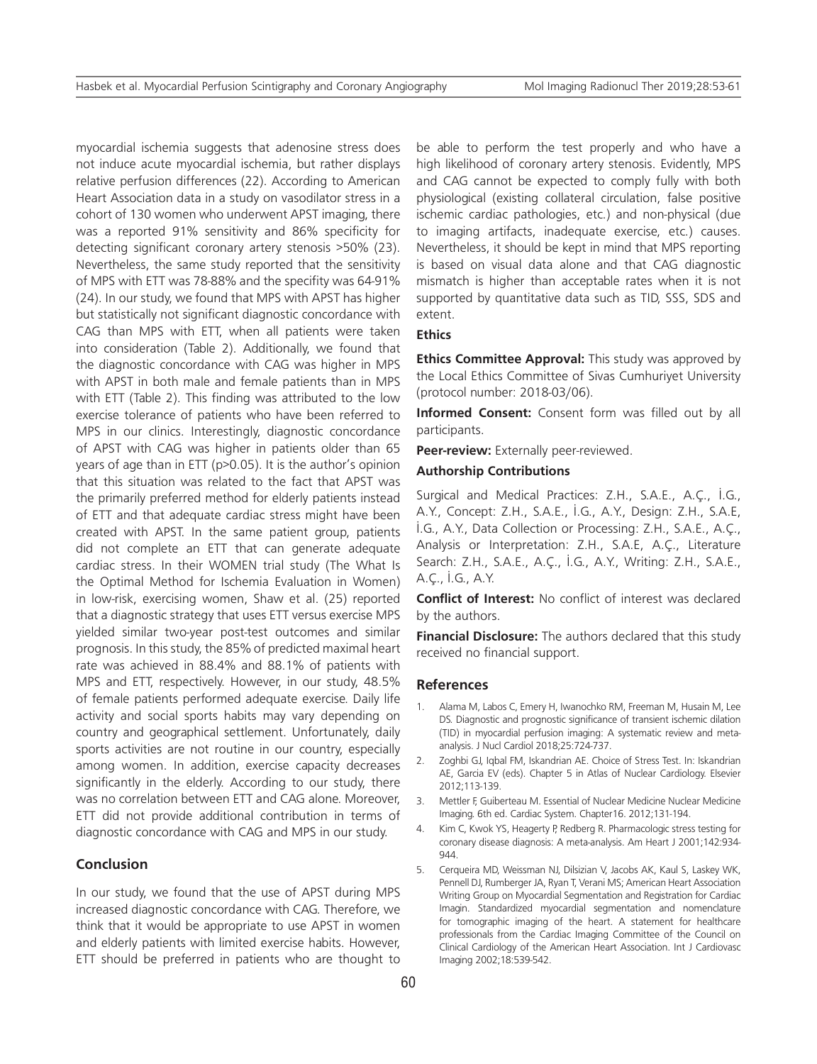myocardial ischemia suggests that adenosine stress does not induce acute myocardial ischemia, but rather displays relative perfusion differences (22). According to American Heart Association data in a study on vasodilator stress in a cohort of 130 women who underwent APST imaging, there was a reported 91% sensitivity and 86% specificity for detecting significant coronary artery stenosis >50% (23). Nevertheless, the same study reported that the sensitivity of MPS with ETT was 78-88% and the specifity was 64-91% (24). In our study, we found that MPS with APST has higher but statistically not significant diagnostic concordance with CAG than MPS with ETT, when all patients were taken into consideration (Table 2). Additionally, we found that the diagnostic concordance with CAG was higher in MPS with APST in both male and female patients than in MPS with ETT (Table 2). This finding was attributed to the low exercise tolerance of patients who have been referred to MPS in our clinics. Interestingly, diagnostic concordance of APST with CAG was higher in patients older than 65 years of age than in ETT (p>0.05). It is the author's opinion that this situation was related to the fact that APST was the primarily preferred method for elderly patients instead of ETT and that adequate cardiac stress might have been created with APST. In the same patient group, patients did not complete an ETT that can generate adequate cardiac stress. In their WOMEN trial study (The What Is the Optimal Method for Ischemia Evaluation in Women) in low-risk, exercising women, Shaw et al. (25) reported that a diagnostic strategy that uses ETT versus exercise MPS yielded similar two-year post-test outcomes and similar prognosis. In this study, the 85% of predicted maximal heart rate was achieved in 88.4% and 88.1% of patients with MPS and ETT, respectively. However, in our study, 48.5% of female patients performed adequate exercise. Daily life activity and social sports habits may vary depending on country and geographical settlement. Unfortunately, daily sports activities are not routine in our country, especially among women. In addition, exercise capacity decreases significantly in the elderly. According to our study, there was no correlation between ETT and CAG alone. Moreover, ETT did not provide additional contribution in terms of diagnostic concordance with CAG and MPS in our study.

## **Conclusion**

In our study, we found that the use of APST during MPS increased diagnostic concordance with CAG. Therefore, we think that it would be appropriate to use APST in women and elderly patients with limited exercise habits. However, ETT should be preferred in patients who are thought to

be able to perform the test properly and who have a high likelihood of coronary artery stenosis. Evidently, MPS and CAG cannot be expected to comply fully with both physiological (existing collateral circulation, false positive ischemic cardiac pathologies, etc.) and non-physical (due to imaging artifacts, inadequate exercise, etc.) causes. Nevertheless, it should be kept in mind that MPS reporting is based on visual data alone and that CAG diagnostic mismatch is higher than acceptable rates when it is not supported by quantitative data such as TID, SSS, SDS and extent.

## **Ethics**

**Ethics Committee Approval:** This study was approved by the Local Ethics Committee of Sivas Cumhuriyet University (protocol number: 2018-03/06).

**Informed Consent:** Consent form was filled out by all participants.

**Peer-review:** Externally peer-reviewed.

#### **Authorship Contributions**

Surgical and Medical Practices: Z.H., S.A.E., A.Ç., İ.G., A.Y., Concept: Z.H., S.A.E., İ.G., A.Y., Design: Z.H., S.A.E, İ.G., A.Y., Data Collection or Processing: Z.H., S.A.E., A.Ç., Analysis or Interpretation: Z.H., S.A.E, A.Ç., Literature Search: Z.H., S.A.E., A.Ç., İ.G., A.Y., Writing: Z.H., S.A.E., A.Ç., İ.G., A.Y.

**Conflict of Interest:** No conflict of interest was declared by the authors.

**Financial Disclosure:** The authors declared that this study received no financial support.

#### **References**

- 1. Alama M, Labos C, Emery H, Iwanochko RM, Freeman M, Husain M, Lee DS. Diagnostic and prognostic significance of transient ischemic dilation (TID) in myocardial perfusion imaging: A systematic review and metaanalysis. J Nucl Cardiol 2018;25:724-737.
- 2. Zoghbi GJ, Iqbal FM, Iskandrian AE. Choice of Stress Test. In: Iskandrian AE, Garcia EV (eds). Chapter 5 in Atlas of Nuclear Cardiology. Elsevier 2012;113-139.
- 3. Mettler F, Guiberteau M. Essential of Nuclear Medicine Nuclear Medicine Imaging. 6th ed. Cardiac System. Chapter16. 2012;131-194.
- 4. Kim C, Kwok YS, Heagerty P, Redberg R. Pharmacologic stress testing for coronary disease diagnosis: A meta-analysis. Am Heart J 2001;142:934- 944.
- 5. Cerqueira MD, Weissman NJ, Dilsizian V, Jacobs AK, Kaul S, Laskey WK, Pennell DJ, Rumberger JA, Ryan T, Verani MS; American Heart Association Writing Group on Myocardial Segmentation and Registration for Cardiac Imagin. Standardized myocardial segmentation and nomenclature for tomographic imaging of the heart. A statement for healthcare professionals from the Cardiac Imaging Committee of the Council on Clinical Cardiology of the American Heart Association. Int J Cardiovasc Imaging 2002;18:539-542.